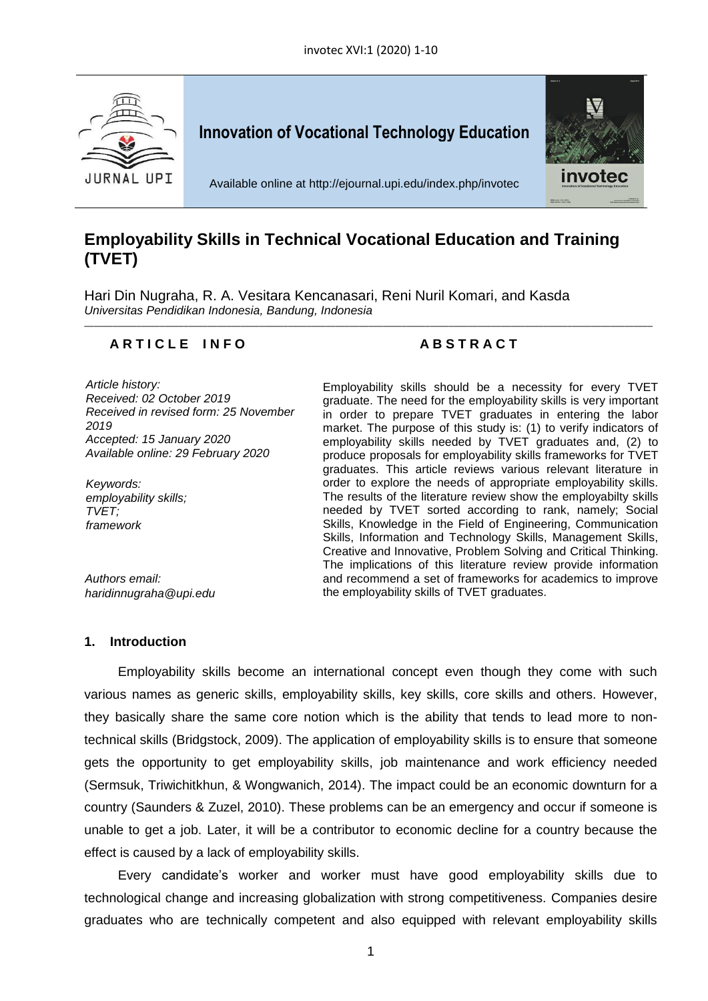

# **Employability Skills in Technical Vocational Education and Training (TVET)**

Hari Din Nugraha, R. A. Vesitara Kencanasari, Reni Nuril Komari, and Kasda *Universitas Pendidikan Indonesia, Bandung, Indonesia* \_\_\_\_\_\_\_\_\_\_\_\_\_\_\_\_\_\_\_\_\_\_\_\_\_\_\_\_\_\_\_\_\_\_\_\_\_\_\_\_\_\_\_\_\_\_\_\_\_\_\_\_\_\_\_\_\_\_\_\_\_\_\_\_\_\_\_\_\_\_\_\_\_\_\_\_\_\_\_\_\_\_\_\_\_\_\_\_\_\_\_\_\_\_\_\_\_\_\_\_\_\_\_\_\_\_\_\_\_\_\_\_\_\_\_\_\_\_\_\_

# **A R T I C L E I N F O A B S T R A C T**

*Article history: Received: 02 October 2019 Received in revised form: 25 November 2019 Accepted: 15 January 2020 Available online: 29 February 2020*

*Keywords: employability skills; TVET; framework*

*Authors email:*

*[haridinnugraha@upi.edu](mailto:haridinnugraha@upi.edu)*

Employability skills should be a necessity for every TVET graduate. The need for the employability skills is very important in order to prepare TVET graduates in entering the labor market. The purpose of this study is: (1) to verify indicators of employability skills needed by TVET graduates and, (2) to produce proposals for employability skills frameworks for TVET graduates. This article reviews various relevant literature in order to explore the needs of appropriate employability skills. The results of the literature review show the employabilty skills needed by TVET sorted according to rank, namely; Social Skills, Knowledge in the Field of Engineering, Communication Skills, Information and Technology Skills, Management Skills, Creative and Innovative, Problem Solving and Critical Thinking. The implications of this literature review provide information and recommend a set of frameworks for academics to improve the employability skills of TVET graduates.

## **1. Introduction**

Employability skills become an international concept even though they come with such various names as generic skills, employability skills, key skills, core skills and others. However, they basically share the same core notion which is the ability that tends to lead more to nontechnical skills (Bridgstock, 2009). The application of employability skills is to ensure that someone gets the opportunity to get employability skills, job maintenance and work efficiency needed (Sermsuk, Triwichitkhun, & Wongwanich, 2014). The impact could be an economic downturn for a country (Saunders & Zuzel, 2010). These problems can be an emergency and occur if someone is unable to get a job. Later, it will be a contributor to economic decline for a country because the effect is caused by a lack of employability skills.

Every candidate's worker and worker must have good employability skills due to technological change and increasing globalization with strong competitiveness. Companies desire graduates who are technically competent and also equipped with relevant employability skills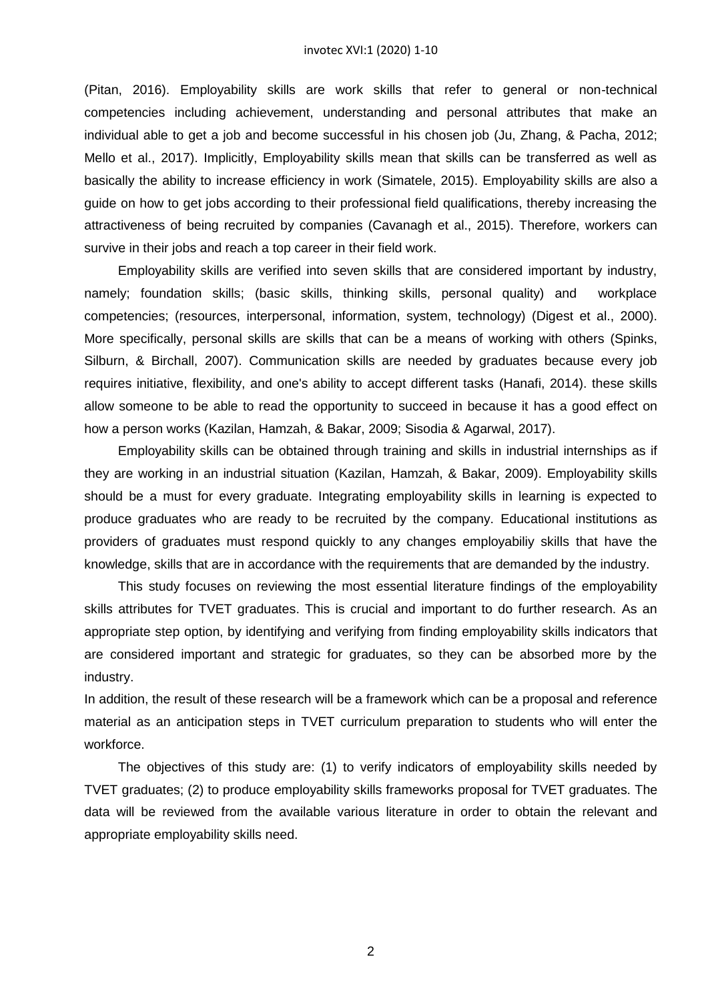(Pitan, 2016). Employability skills are work skills that refer to general or non-technical competencies including achievement, understanding and personal attributes that make an individual able to get a job and become successful in his chosen job (Ju, Zhang, & Pacha, 2012; Mello et al., 2017). Implicitly, Employability skills mean that skills can be transferred as well as basically the ability to increase efficiency in work (Simatele, 2015). Employability skills are also a guide on how to get jobs according to their professional field qualifications, thereby increasing the attractiveness of being recruited by companies (Cavanagh et al., 2015). Therefore, workers can survive in their jobs and reach a top career in their field work.

Employability skills are verified into seven skills that are considered important by industry, namely; foundation skills; (basic skills, thinking skills, personal quality) and workplace competencies; (resources, interpersonal, information, system, technology) (Digest et al., 2000). More specifically, personal skills are skills that can be a means of working with others (Spinks, Silburn, & Birchall, 2007). Communication skills are needed by graduates because every job requires initiative, flexibility, and one's ability to accept different tasks (Hanafi, 2014). these skills allow someone to be able to read the opportunity to succeed in because it has a good effect on how a person works (Kazilan, Hamzah, & Bakar, 2009; Sisodia & Agarwal, 2017).

Employability skills can be obtained through training and skills in industrial internships as if they are working in an industrial situation (Kazilan, Hamzah, & Bakar, 2009). Employability skills should be a must for every graduate. Integrating employability skills in learning is expected to produce graduates who are ready to be recruited by the company. Educational institutions as providers of graduates must respond quickly to any changes employabiliy skills that have the knowledge, skills that are in accordance with the requirements that are demanded by the industry.

This study focuses on reviewing the most essential literature findings of the employability skills attributes for TVET graduates. This is crucial and important to do further research. As an appropriate step option, by identifying and verifying from finding employability skills indicators that are considered important and strategic for graduates, so they can be absorbed more by the industry.

In addition, the result of these research will be a framework which can be a proposal and reference material as an anticipation steps in TVET curriculum preparation to students who will enter the workforce.

The objectives of this study are: (1) to verify indicators of employability skills needed by TVET graduates; (2) to produce employability skills frameworks proposal for TVET graduates. The data will be reviewed from the available various literature in order to obtain the relevant and appropriate employability skills need.

2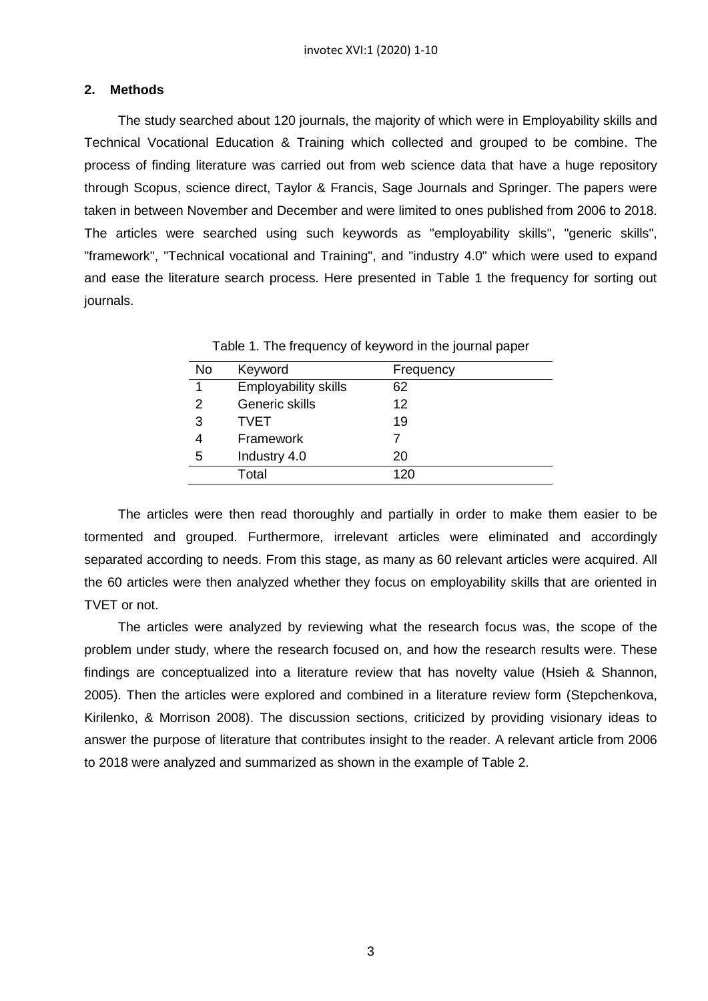# **2. Methods**

The study searched about 120 journals, the majority of which were in Employability skills and Technical Vocational Education & Training which collected and grouped to be combine. The process of finding literature was carried out from web science data that have a huge repository through Scopus, science direct, Taylor & Francis, Sage Journals and Springer. The papers were taken in between November and December and were limited to ones published from 2006 to 2018. The articles were searched using such keywords as "employability skills", "generic skills", "framework", "Technical vocational and Training", and "industry 4.0" which were used to expand and ease the literature search process. Here presented in Table 1 the frequency for sorting out journals.

| <b>No</b> | Keyword                     | Frequency |  |
|-----------|-----------------------------|-----------|--|
| 1         | <b>Employability skills</b> | 62        |  |
| 2         | Generic skills              | 12        |  |
| 3         | <b>TVET</b>                 | 19        |  |
|           | Framework                   |           |  |
| 5         | Industry 4.0                | 20        |  |
|           | Total                       | 120       |  |

Table 1. The frequency of keyword in the journal paper

The articles were then read thoroughly and partially in order to make them easier to be tormented and grouped. Furthermore, irrelevant articles were eliminated and accordingly separated according to needs. From this stage, as many as 60 relevant articles were acquired. All the 60 articles were then analyzed whether they focus on employability skills that are oriented in TVET or not.

The articles were analyzed by reviewing what the research focus was, the scope of the problem under study, where the research focused on, and how the research results were. These findings are conceptualized into a literature review that has novelty value (Hsieh & Shannon, 2005). Then the articles were explored and combined in a literature review form (Stepchenkova, Kirilenko, & Morrison 2008). The discussion sections, criticized by providing visionary ideas to answer the purpose of literature that contributes insight to the reader. A relevant article from 2006 to 2018 were analyzed and summarized as shown in the example of Table 2.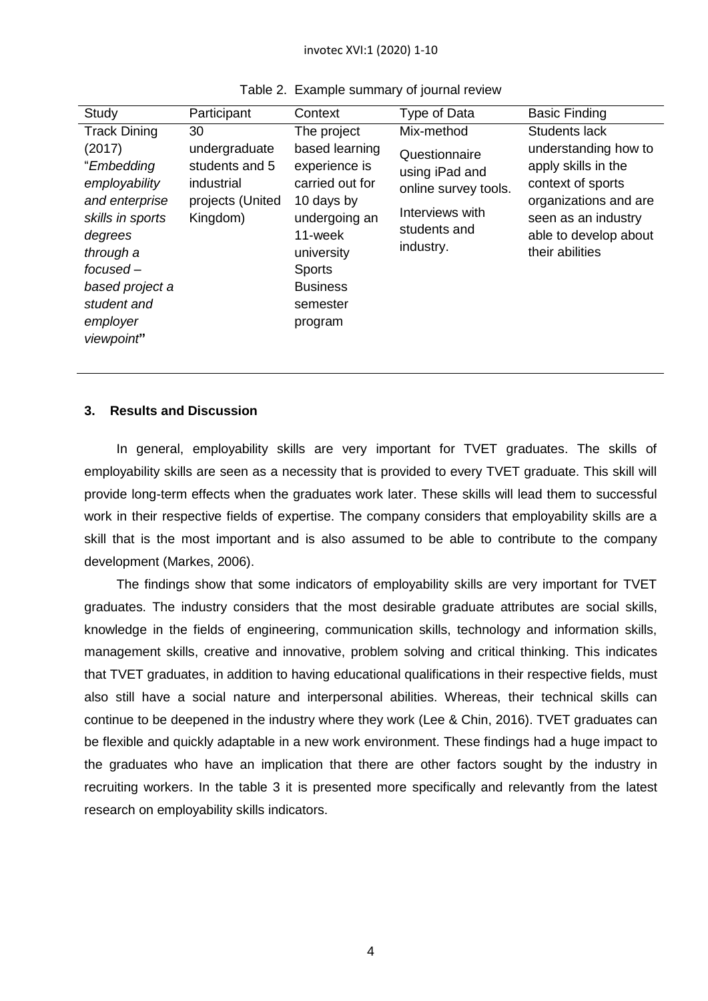| Study                                                                                                                                                                                                    | Participant                                                                         | Context                                                                                                                                                                              | Type of Data                                                                                                          | <b>Basic Finding</b>                                                                                                                                                          |
|----------------------------------------------------------------------------------------------------------------------------------------------------------------------------------------------------------|-------------------------------------------------------------------------------------|--------------------------------------------------------------------------------------------------------------------------------------------------------------------------------------|-----------------------------------------------------------------------------------------------------------------------|-------------------------------------------------------------------------------------------------------------------------------------------------------------------------------|
| <b>Track Dining</b><br>(2017)<br>"Embedding<br>employability<br>and enterprise<br>skills in sports<br>degrees<br>through a<br>$f$ ocused $-$<br>based project a<br>student and<br>employer<br>viewpoint" | 30<br>undergraduate<br>students and 5<br>industrial<br>projects (United<br>Kingdom) | The project<br>based learning<br>experience is<br>carried out for<br>10 days by<br>undergoing an<br>11-week<br>university<br><b>Sports</b><br><b>Business</b><br>semester<br>program | Mix-method<br>Questionnaire<br>using iPad and<br>online survey tools.<br>Interviews with<br>students and<br>industry. | Students lack<br>understanding how to<br>apply skills in the<br>context of sports<br>organizations and are<br>seen as an industry<br>able to develop about<br>their abilities |

| Table 2. Example summary of journal review |  |  |
|--------------------------------------------|--|--|
|                                            |  |  |

# **3. Results and Discussion**

In general, employability skills are very important for TVET graduates. The skills of employability skills are seen as a necessity that is provided to every TVET graduate. This skill will provide long-term effects when the graduates work later. These skills will lead them to successful work in their respective fields of expertise. The company considers that employability skills are a skill that is the most important and is also assumed to be able to contribute to the company development (Markes, 2006).

The findings show that some indicators of employability skills are very important for TVET graduates. The industry considers that the most desirable graduate attributes are social skills, knowledge in the fields of engineering, communication skills, technology and information skills, management skills, creative and innovative, problem solving and critical thinking. This indicates that TVET graduates, in addition to having educational qualifications in their respective fields, must also still have a social nature and interpersonal abilities. Whereas, their technical skills can continue to be deepened in the industry where they work (Lee & Chin, 2016). TVET graduates can be flexible and quickly adaptable in a new work environment. These findings had a huge impact to the graduates who have an implication that there are other factors sought by the industry in recruiting workers. In the table 3 it is presented more specifically and relevantly from the latest research on employability skills indicators.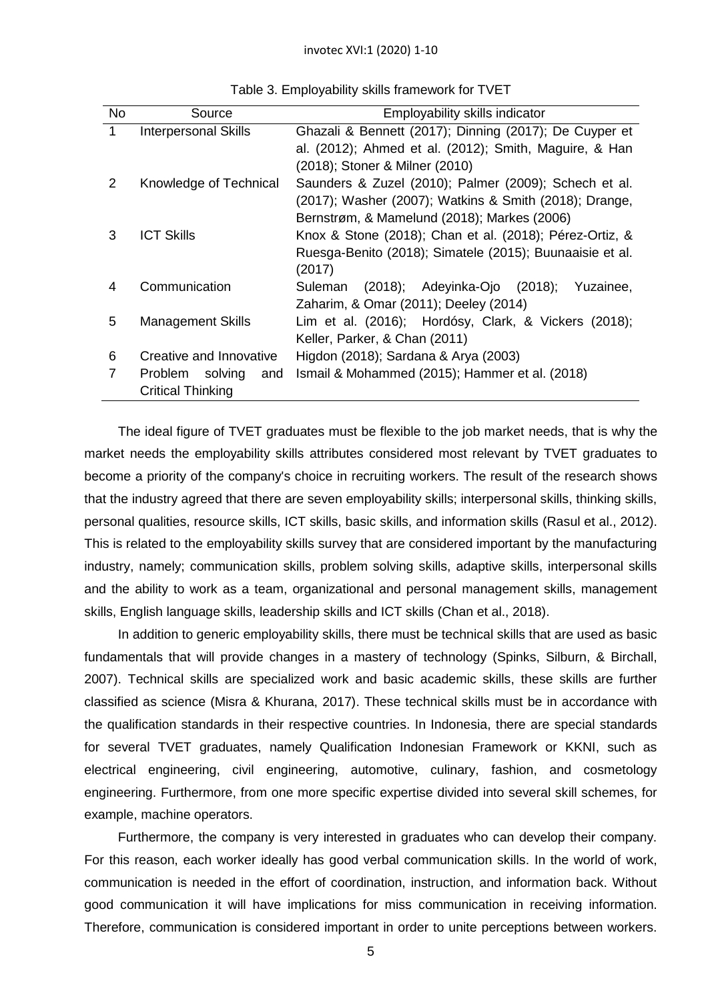| No.            | Source                    | Employability skills indicator                           |
|----------------|---------------------------|----------------------------------------------------------|
| 1              | Interpersonal Skills      | Ghazali & Bennett (2017); Dinning (2017); De Cuyper et   |
|                |                           | al. (2012); Ahmed et al. (2012); Smith, Maguire, & Han   |
|                |                           | (2018); Stoner & Milner (2010)                           |
| $\overline{2}$ | Knowledge of Technical    | Saunders & Zuzel (2010); Palmer (2009); Schech et al.    |
|                |                           | (2017); Washer (2007); Watkins & Smith (2018); Drange,   |
|                |                           | Bernstrøm, & Mamelund (2018); Markes (2006)              |
| 3              | <b>ICT Skills</b>         | Knox & Stone (2018); Chan et al. (2018); Pérez-Ortiz, &  |
|                |                           | Ruesga-Benito (2018); Simatele (2015); Buunaaisie et al. |
|                |                           | (2017)                                                   |
| 4              | Communication             | (2018); Adeyinka-Ojo (2018);<br>Yuzainee,<br>Suleman     |
|                |                           | Zaharim, & Omar (2011); Deeley (2014)                    |
| 5              | <b>Management Skills</b>  | Lim et al. (2016); Hordósy, Clark, & Vickers (2018);     |
|                |                           | Keller, Parker, & Chan (2011)                            |
| 6              | Creative and Innovative   | Higdon (2018); Sardana & Arya (2003)                     |
|                | solving<br>Problem<br>and | Ismail & Mohammed (2015); Hammer et al. (2018)           |
|                | <b>Critical Thinking</b>  |                                                          |

Table 3. Employability skills framework for TVET

The ideal figure of TVET graduates must be flexible to the job market needs, that is why the market needs the employability skills attributes considered most relevant by TVET graduates to become a priority of the company's choice in recruiting workers. The result of the research shows that the industry agreed that there are seven employability skills; interpersonal skills, thinking skills, personal qualities, resource skills, ICT skills, basic skills, and information skills (Rasul et al., 2012). This is related to the employability skills survey that are considered important by the manufacturing industry, namely; communication skills, problem solving skills, adaptive skills, interpersonal skills and the ability to work as a team, organizational and personal management skills, management skills, English language skills, leadership skills and ICT skills (Chan et al., 2018).

In addition to generic employability skills, there must be technical skills that are used as basic fundamentals that will provide changes in a mastery of technology (Spinks, Silburn, & Birchall, 2007). Technical skills are specialized work and basic academic skills, these skills are further classified as science (Misra & Khurana, 2017). These technical skills must be in accordance with the qualification standards in their respective countries. In Indonesia, there are special standards for several TVET graduates, namely Qualification Indonesian Framework or KKNI, such as electrical engineering, civil engineering, automotive, culinary, fashion, and cosmetology engineering. Furthermore, from one more specific expertise divided into several skill schemes, for example, machine operators.

Furthermore, the company is very interested in graduates who can develop their company. For this reason, each worker ideally has good verbal communication skills. In the world of work, communication is needed in the effort of coordination, instruction, and information back. Without good communication it will have implications for miss communication in receiving information. Therefore, communication is considered important in order to unite perceptions between workers.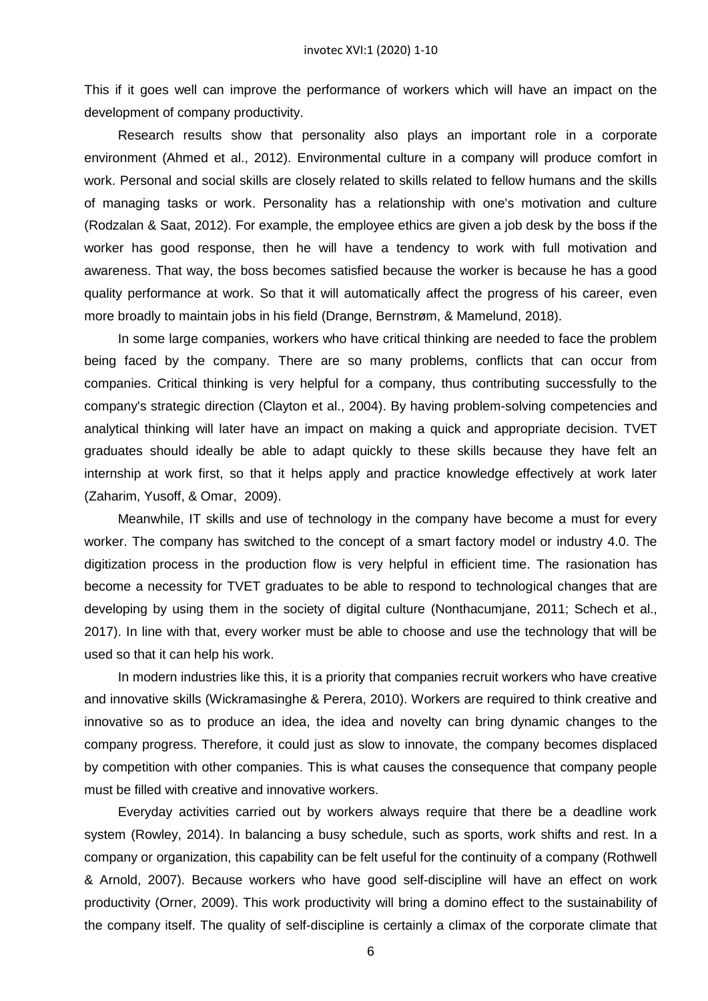This if it goes well can improve the performance of workers which will have an impact on the development of company productivity.

Research results show that personality also plays an important role in a corporate environment (Ahmed et al., 2012). Environmental culture in a company will produce comfort in work. Personal and social skills are closely related to skills related to fellow humans and the skills of managing tasks or work. Personality has a relationship with one's motivation and culture (Rodzalan & Saat, 2012). For example, the employee ethics are given a job desk by the boss if the worker has good response, then he will have a tendency to work with full motivation and awareness. That way, the boss becomes satisfied because the worker is because he has a good quality performance at work. So that it will automatically affect the progress of his career, even more broadly to maintain jobs in his field (Drange, Bernstrøm, & Mamelund, 2018).

In some large companies, workers who have critical thinking are needed to face the problem being faced by the company. There are so many problems, conflicts that can occur from companies. Critical thinking is very helpful for a company, thus contributing successfully to the company's strategic direction (Clayton et al., 2004). By having problem-solving competencies and analytical thinking will later have an impact on making a quick and appropriate decision. TVET graduates should ideally be able to adapt quickly to these skills because they have felt an internship at work first, so that it helps apply and practice knowledge effectively at work later (Zaharim, Yusoff, & Omar, 2009).

Meanwhile, IT skills and use of technology in the company have become a must for every worker. The company has switched to the concept of a smart factory model or industry 4.0. The digitization process in the production flow is very helpful in efficient time. The rasionation has become a necessity for TVET graduates to be able to respond to technological changes that are developing by using them in the society of digital culture (Nonthacumjane, 2011; Schech et al., 2017). In line with that, every worker must be able to choose and use the technology that will be used so that it can help his work.

In modern industries like this, it is a priority that companies recruit workers who have creative and innovative skills (Wickramasinghe & Perera, 2010). Workers are required to think creative and innovative so as to produce an idea, the idea and novelty can bring dynamic changes to the company progress. Therefore, it could just as slow to innovate, the company becomes displaced by competition with other companies. This is what causes the consequence that company people must be filled with creative and innovative workers.

Everyday activities carried out by workers always require that there be a deadline work system (Rowley, 2014). In balancing a busy schedule, such as sports, work shifts and rest. In a company or organization, this capability can be felt useful for the continuity of a company (Rothwell & Arnold, 2007). Because workers who have good self-discipline will have an effect on work productivity (Orner, 2009). This work productivity will bring a domino effect to the sustainability of the company itself. The quality of self-discipline is certainly a climax of the corporate climate that

6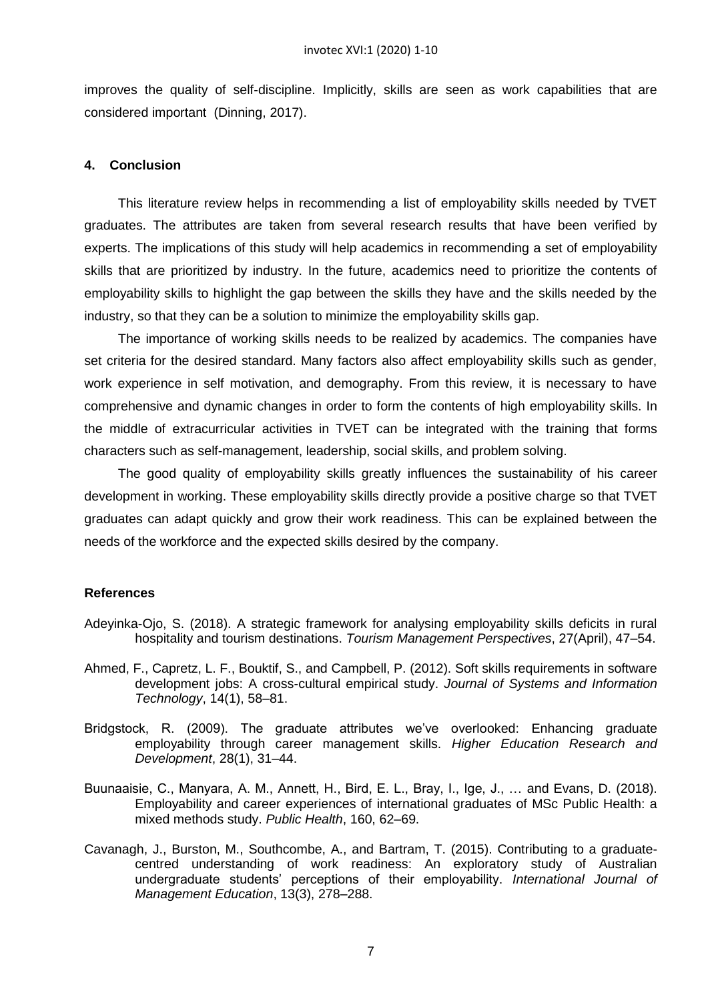improves the quality of self-discipline. Implicitly, skills are seen as work capabilities that are considered important (Dinning, 2017).

## **4. Conclusion**

This literature review helps in recommending a list of employability skills needed by TVET graduates. The attributes are taken from several research results that have been verified by experts. The implications of this study will help academics in recommending a set of employability skills that are prioritized by industry. In the future, academics need to prioritize the contents of employability skills to highlight the gap between the skills they have and the skills needed by the industry, so that they can be a solution to minimize the employability skills gap.

The importance of working skills needs to be realized by academics. The companies have set criteria for the desired standard. Many factors also affect employability skills such as gender, work experience in self motivation, and demography. From this review, it is necessary to have comprehensive and dynamic changes in order to form the contents of high employability skills. In the middle of extracurricular activities in TVET can be integrated with the training that forms characters such as self-management, leadership, social skills, and problem solving.

The good quality of employability skills greatly influences the sustainability of his career development in working. These employability skills directly provide a positive charge so that TVET graduates can adapt quickly and grow their work readiness. This can be explained between the needs of the workforce and the expected skills desired by the company.

## **References**

- Adeyinka-Ojo, S. (2018). A strategic framework for analysing employability skills deficits in rural hospitality and tourism destinations. *Tourism Management Perspectives*, 27(April), 47–54.
- Ahmed, F., Capretz, L. F., Bouktif, S., and Campbell, P. (2012). Soft skills requirements in software development jobs: A cross-cultural empirical study. *Journal of Systems and Information Technology*, 14(1), 58–81.
- Bridgstock, R. (2009). The graduate attributes we've overlooked: Enhancing graduate employability through career management skills. *Higher Education Research and Development*, 28(1), 31–44.
- Buunaaisie, C., Manyara, A. M., Annett, H., Bird, E. L., Bray, I., Ige, J., … and Evans, D. (2018). Employability and career experiences of international graduates of MSc Public Health: a mixed methods study. *Public Health*, 160, 62–69.
- Cavanagh, J., Burston, M., Southcombe, A., and Bartram, T. (2015). Contributing to a graduatecentred understanding of work readiness: An exploratory study of Australian undergraduate students' perceptions of their employability. *International Journal of Management Education*, 13(3), 278–288.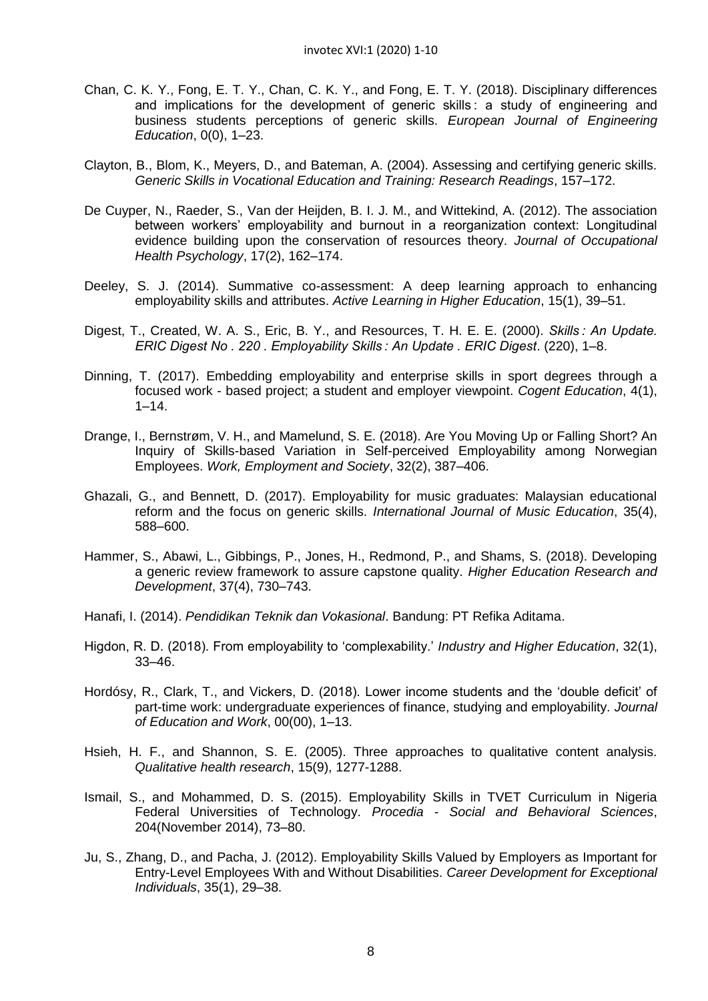- Chan, C. K. Y., Fong, E. T. Y., Chan, C. K. Y., and Fong, E. T. Y. (2018). Disciplinary differences and implications for the development of generic skills : a study of engineering and business students perceptions of generic skills. *European Journal of Engineering Education*, 0(0), 1–23.
- Clayton, B., Blom, K., Meyers, D., and Bateman, A. (2004). Assessing and certifying generic skills. *Generic Skills in Vocational Education and Training: Research Readings*, 157–172.
- De Cuyper, N., Raeder, S., Van der Heijden, B. I. J. M., and Wittekind, A. (2012). The association between workers' employability and burnout in a reorganization context: Longitudinal evidence building upon the conservation of resources theory. *Journal of Occupational Health Psychology*, 17(2), 162–174.
- Deeley, S. J. (2014). Summative co-assessment: A deep learning approach to enhancing employability skills and attributes. *Active Learning in Higher Education*, 15(1), 39–51.
- Digest, T., Created, W. A. S., Eric, B. Y., and Resources, T. H. E. E. (2000). *Skills : An Update. ERIC Digest No . 220 . Employability Skills : An Update . ERIC Digest*. (220), 1–8.
- Dinning, T. (2017). Embedding employability and enterprise skills in sport degrees through a focused work - based project; a student and employer viewpoint. *Cogent Education*, 4(1),  $1 - 14.$
- Drange, I., Bernstrøm, V. H., and Mamelund, S. E. (2018). Are You Moving Up or Falling Short? An Inquiry of Skills-based Variation in Self-perceived Employability among Norwegian Employees. *Work, Employment and Society*, 32(2), 387–406.
- Ghazali, G., and Bennett, D. (2017). Employability for music graduates: Malaysian educational reform and the focus on generic skills. *International Journal of Music Education*, 35(4), 588–600.
- Hammer, S., Abawi, L., Gibbings, P., Jones, H., Redmond, P., and Shams, S. (2018). Developing a generic review framework to assure capstone quality. *Higher Education Research and Development*, 37(4), 730–743.
- Hanafi, I. (2014). *Pendidikan Teknik dan Vokasional*. Bandung: PT Refika Aditama.
- Higdon, R. D. (2018). From employability to 'complexability.' *Industry and Higher Education*, 32(1), 33–46.
- Hordósy, R., Clark, T., and Vickers, D. (2018). Lower income students and the 'double deficit' of part-time work: undergraduate experiences of finance, studying and employability. *Journal of Education and Work*, 00(00), 1–13.
- Hsieh, H. F., and Shannon, S. E. (2005). Three approaches to qualitative content analysis. *Qualitative health research*, 15(9), 1277-1288.
- Ismail, S., and Mohammed, D. S. (2015). Employability Skills in TVET Curriculum in Nigeria Federal Universities of Technology. *Procedia - Social and Behavioral Sciences*, 204(November 2014), 73–80.
- Ju, S., Zhang, D., and Pacha, J. (2012). Employability Skills Valued by Employers as Important for Entry-Level Employees With and Without Disabilities. *Career Development for Exceptional Individuals*, 35(1), 29–38.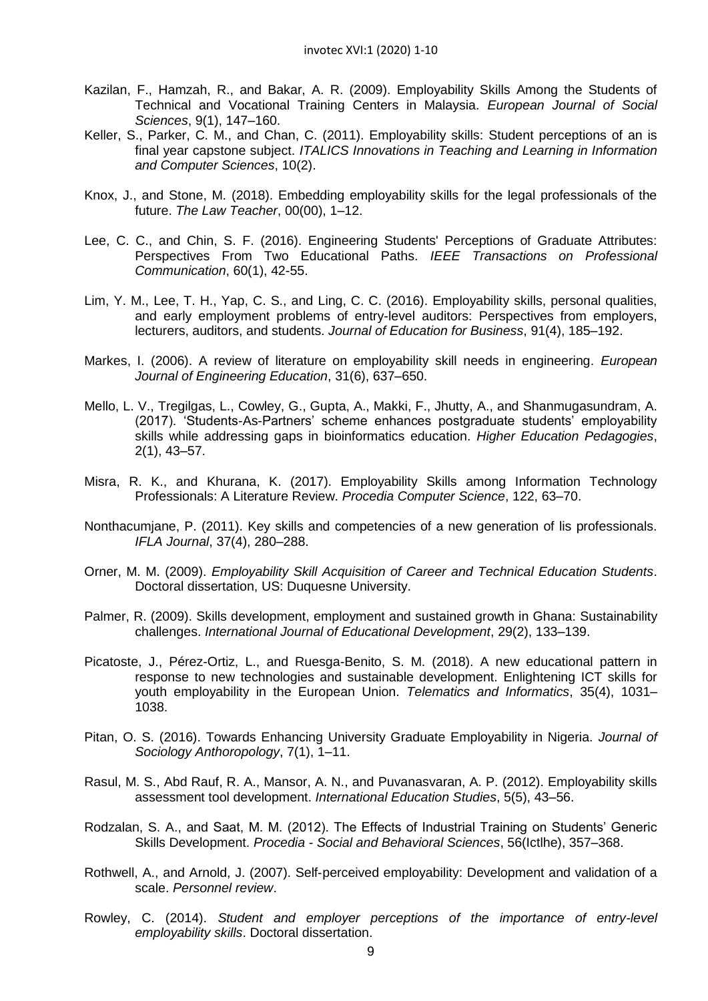- Kazilan, F., Hamzah, R., and Bakar, A. R. (2009). Employability Skills Among the Students of Technical and Vocational Training Centers in Malaysia. *European Journal of Social Sciences*, 9(1), 147–160.
- Keller, S., Parker, C. M., and Chan, C. (2011). Employability skills: Student perceptions of an is final year capstone subject. *ITALICS Innovations in Teaching and Learning in Information and Computer Sciences*, 10(2).
- Knox, J., and Stone, M. (2018). Embedding employability skills for the legal professionals of the future. *The Law Teacher*, 00(00), 1–12.
- Lee, C. C., and Chin, S. F. (2016). Engineering Students' Perceptions of Graduate Attributes: Perspectives From Two Educational Paths. *IEEE Transactions on Professional Communication*, 60(1), 42-55.
- Lim, Y. M., Lee, T. H., Yap, C. S., and Ling, C. C. (2016). Employability skills, personal qualities, and early employment problems of entry-level auditors: Perspectives from employers, lecturers, auditors, and students. *Journal of Education for Business*, 91(4), 185–192.
- Markes, I. (2006). A review of literature on employability skill needs in engineering. *European Journal of Engineering Education*, 31(6), 637–650.
- Mello, L. V., Tregilgas, L., Cowley, G., Gupta, A., Makki, F., Jhutty, A., and Shanmugasundram, A. (2017). 'Students-As-Partners' scheme enhances postgraduate students' employability skills while addressing gaps in bioinformatics education. *Higher Education Pedagogies*, 2(1), 43–57.
- Misra, R. K., and Khurana, K. (2017). Employability Skills among Information Technology Professionals: A Literature Review. *Procedia Computer Science*, 122, 63–70.
- Nonthacumjane, P. (2011). Key skills and competencies of a new generation of lis professionals. *IFLA Journal*, 37(4), 280–288.
- Orner, M. M. (2009). *Employability Skill Acquisition of Career and Technical Education Students*. Doctoral dissertation, US: Duquesne University.
- Palmer, R. (2009). Skills development, employment and sustained growth in Ghana: Sustainability challenges. *International Journal of Educational Development*, 29(2), 133–139.
- Picatoste, J., Pérez-Ortiz, L., and Ruesga-Benito, S. M. (2018). A new educational pattern in response to new technologies and sustainable development. Enlightening ICT skills for youth employability in the European Union. *Telematics and Informatics*, 35(4), 1031– 1038.
- Pitan, O. S. (2016). Towards Enhancing University Graduate Employability in Nigeria. *Journal of Sociology Anthoropology*, 7(1), 1–11.
- Rasul, M. S., Abd Rauf, R. A., Mansor, A. N., and Puvanasvaran, A. P. (2012). Employability skills assessment tool development. *International Education Studies*, 5(5), 43–56.
- Rodzalan, S. A., and Saat, M. M. (2012). The Effects of Industrial Training on Students' Generic Skills Development. *Procedia - Social and Behavioral Sciences*, 56(Ictlhe), 357–368.
- Rothwell, A., and Arnold, J. (2007). Self‐perceived employability: Development and validation of a scale. *Personnel review*.
- Rowley, C. (2014). *Student and employer perceptions of the importance of entry-level employability skills*. Doctoral dissertation.